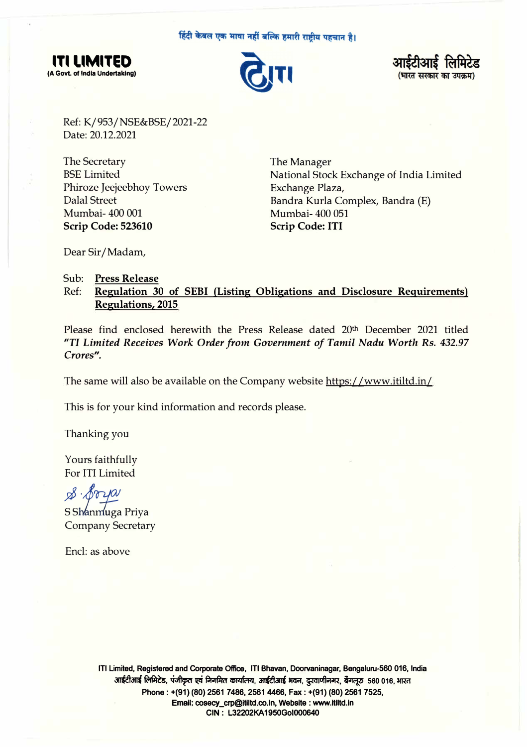हिंदी केवल एक भाषा नहीं बल्कि हमारी राष्ट्रीय पहचान है।







Ref: K/ 953 / NSE&BSE/ 2021-22 Date: 20.12.2021

The Secretary BSE Limited Phiroze Jeejeebhoy Towers Dalal Street Mumbai-400 001 **Scrip Code: 523610** 

The Manager National Stock Exchange of India Limited Exchange Plaza, Bandra Kurla Complex, Bandra (E) Mumbai-400 051 **Scrip Code: ITI** 

Dear Sir/ Madam,

## Sub: **Press Release**

## Ref: **Regulation 30 of SEBI (Listing Obligations and Disclosure Requirements) Regulations, 2015**

Please find enclosed herewith the Press Release dated 20th December 2021 titled *"TI Limited Receives Work Order from Government of Tamil Nadu Worth* Rs. 432.97 *Crores".* 

The same will also be available on the Company website https://www.itiltd.in/

This is for your kind information and records please.

Thanking you

Yours faithfully For ITI Limited

*5P ·J'oi-J!!!* 

S Shanmuga Priya Company Secretary

Encl: as above

**ITI Limited, Registered and Corporate Office, ITI Bhavan, Doorvaninagar, Bengaluru-560 016, India**  आईटीआई लिमिटेड, पंजीकृत एवं निगमित कार्यालय, आईटीआई भवन, दुरवाणीनगर, बैंगलूरु 560 016, भारत **Phone: +(91) (80) 2561 7486, 2561 4466, Fax: +(91) (80) 2561 7525, Email: cosecy\_crp@ltiltd.co.ln, Website: www.ltiltd.in CIN : L32202KA 1950Gol000640**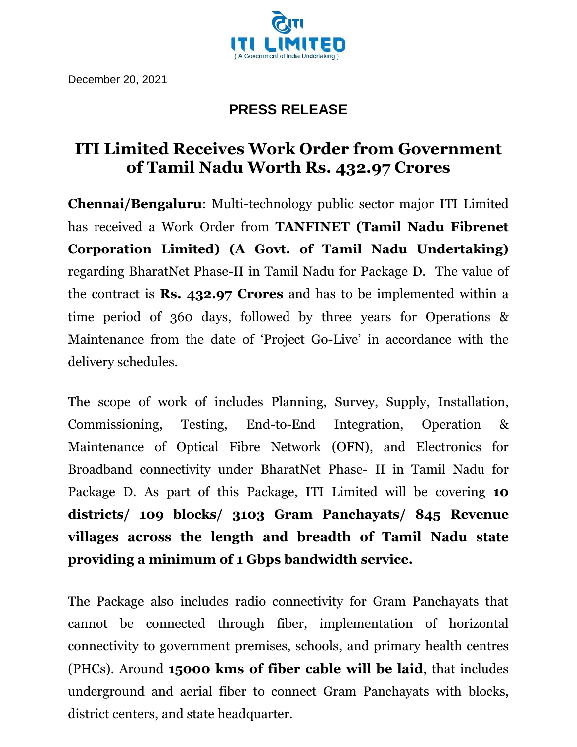

## **PRESS RELEASE**

## **ITI Limited Receives Work Order from Government of Tamil Nadu Worth Rs. 432.97 Crores**

**Chennai/Bengaluru**: Multi-technology public sector major ITI Limited has received a Work Order from **TANFINET (Tamil Nadu Fibrenet Corporation Limited) (A Govt. of Tamil Nadu Undertaking)** regarding BharatNet Phase-II in Tamil Nadu for Package D. The value of the contract is **Rs. 432.97 Crores** and has to be implemented within a time period of 360 days, followed by three years for Operations & Maintenance from the date of 'Project Go-Live' in accordance with the delivery schedules.

The scope of work of includes Planning, Survey, Supply, Installation, Commissioning, Testing, End-to-End Integration, Operation & Maintenance of Optical Fibre Network (OFN), and Electronics for Broadband connectivity under BharatNet Phase- II in Tamil Nadu for Package D. As part of this Package, ITI Limited will be covering **10 districts/ 109 blocks/ 3103 Gram Panchayats/ 845 Revenue villages across the length and breadth of Tamil Nadu state providing a minimum of 1 Gbps bandwidth service.**

The Package also includes radio connectivity for Gram Panchayats that cannot be connected through fiber, implementation of horizontal connectivity to government premises, schools, and primary health centres (PHCs). Around **15000 kms of fiber cable will be laid**, that includes underground and aerial fiber to connect Gram Panchayats with blocks, district centers, and state headquarter.